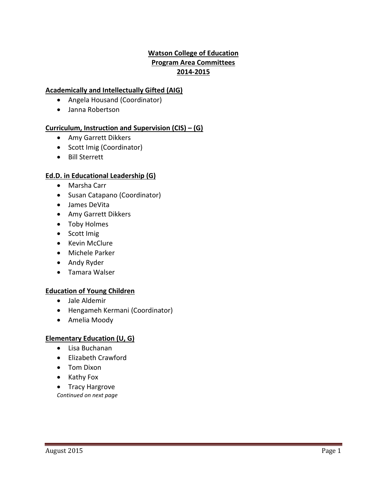# **Watson College of Education Program Area Committees 2014-2015**

# **Academically and Intellectually Gifted (AIG)**

- Angela Housand (Coordinator)
- Janna Robertson

# **Curriculum, Instruction and Supervision (CIS) – (G)**

- Amy Garrett Dikkers
- Scott Imig (Coordinator)
- Bill Sterrett

# **Ed.D. in Educational Leadership (G)**

- Marsha Carr
- Susan Catapano (Coordinator)
- James DeVita
- Amy Garrett Dikkers
- Toby Holmes
- Scott Imig
- Kevin McClure
- Michele Parker
- Andy Ryder
- Tamara Walser

# **Education of Young Children**

- Jale Aldemir
- Hengameh Kermani (Coordinator)
- Amelia Moody

# **Elementary Education (U, G)**

- Lisa Buchanan
- Elizabeth Crawford
- Tom Dixon
- Kathy Fox
- Tracy Hargrove
- *Continued on next page*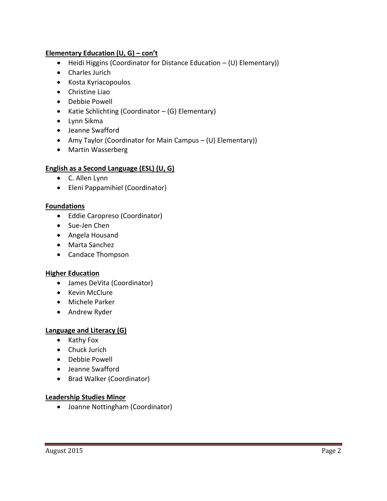### **Elementary Education (U, G) – con't**

- Heidi Higgins (Coordinator for Distance Education (U) Elementary))
- Charles Jurich
- Kosta Kyriacopoulos
- Christine Liao
- Debbie Powell
- Katie Schlichting (Coordinator (G) Elementary)
- Lynn Sikma
- Jeanne Swafford
- Amy Taylor (Coordinator for Main Campus (U) Elementary))
- Martin Wasserberg

### **English as a Second Language (ESL) (U, G)**

- C. Allen Lynn
- Eleni Pappamihiel (Coordinator)

### **Foundations**

- Eddie Caropreso (Coordinator)
- Sue-Jen Chen
- Angela Housand
- Marta Sanchez
- Candace Thompson

#### **Higher Education**

- James DeVita (Coordinator)
- Kevin McClure
- Michele Parker
- Andrew Ryder

#### **Language and Literacy (G)**

- $\bullet$  Kathy Fox
- Chuck Jurich
- Debbie Powell
- Jeanne Swafford
- Brad Walker (Coordinator)

#### **Leadership Studies Minor**

Joanne Nottingham (Coordinator)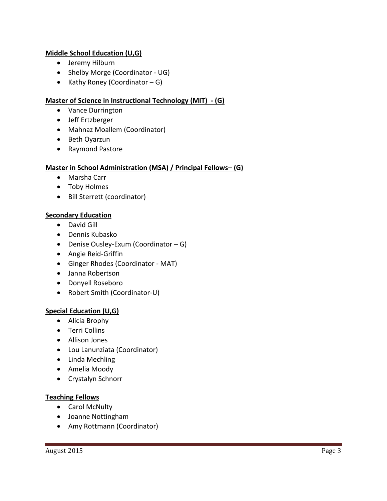## **Middle School Education (U,G)**

- Jeremy Hilburn
- Shelby Morge (Coordinator UG)
- Kathy Roney (Coordinator  $G$ )

# **Master of Science in Instructional Technology (MIT) - (G)**

- Vance Durrington
- Jeff Ertzberger
- Mahnaz Moallem (Coordinator)
- Beth Oyarzun
- Raymond Pastore

# **Master in School Administration (MSA) / Principal Fellows– (G)**

- Marsha Carr
- Toby Holmes
- Bill Sterrett (coordinator)

### **Secondary Education**

- David Gill
- Dennis Kubasko
- Denise Ousley-Exum (Coordinator G)
- Angie Reid-Griffin
- Ginger Rhodes (Coordinator MAT)
- Janna Robertson
- Donyell Roseboro
- Robert Smith (Coordinator-U)

# **Special Education (U,G)**

- Alicia Brophy
- Terri Collins
- Allison Jones
- Lou Lanunziata (Coordinator)
- Linda Mechling
- Amelia Moody
- Crystalyn Schnorr

#### **Teaching Fellows**

- Carol McNulty
- Joanne Nottingham
- Amy Rottmann (Coordinator)